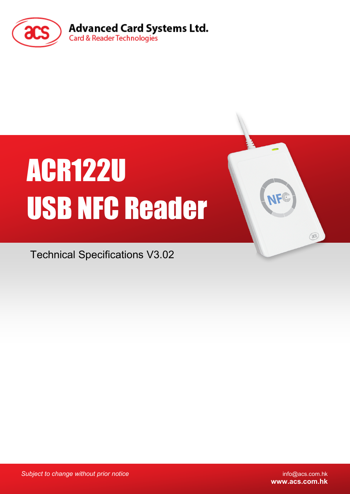

# ACR122U USB NFC Reader

Technical Specifications V3.02

*Subject to change without prior notice* info@acs.com.hk

 $\circ$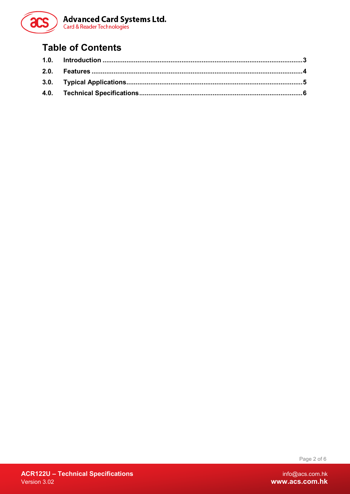

### **Table of Contents**

Page 2 of 6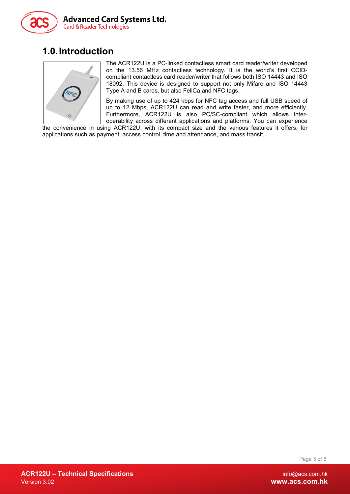

#### <span id="page-2-0"></span>**1.0.Introduction**



The ACR122U is a PC-linked contactless smart card reader/writer developed on the 13.56 MHz contactless technology. It is the world's first CCIDcompliant contactless card reader/writer that follows both ISO 14443 and ISO 18092. This device is designed to support not only Mifare and ISO 14443 Type A and B cards, but also FeliCa and NFC tags.

By making use of up to 424 kbps for NFC tag access and full USB speed of up to 12 Mbps, ACR122U can read and write faster, and more efficiently. Furthermore, ACR122U is also PC/SC-compliant which allows interoperability across different applications and platforms. You can experience

the convenience in using ACR122U, with its compact size and the various features it offers, for applications such as payment, access control, time and attendance, and mass transit.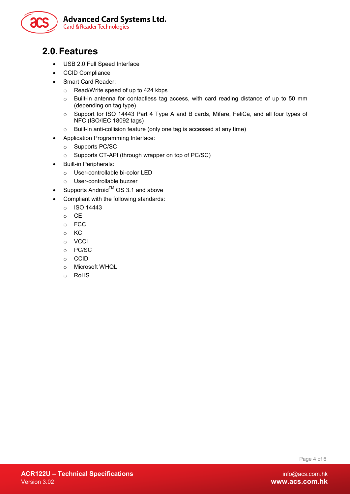

#### <span id="page-3-0"></span>**2.0.Features**

- USB 2.0 Full Speed Interface
- CCID Compliance
- Smart Card Reader:
	- o Read/Write speed of up to 424 kbps
	- $\circ$  Built-in antenna for contactless tag access, with card reading distance of up to 50 mm (depending on tag type)
	- o Support for ISO 14443 Part 4 Type A and B cards, Mifare, FeliCa, and all four types of NFC (ISO/IEC 18092 tags)
	- o Built-in anti-collision feature (only one tag is accessed at any time)
- Application Programming Interface:
	- o Supports PC/SC
	- o Supports CT-API (through wrapper on top of PC/SC)
- Built-in Peripherals:
	- o User-controllable bi-color LED
	- o User-controllable buzzer
- Supports Android<sup>™</sup> OS 3.1 and above
- Compliant with the following standards:
	- o ISO 14443
	- o CE
	- o FCC
	- o KC
	- o VCCI
	- o PC/SC
	- o CCID
	- o Microsoft WHQL
	- o RoHS

Page 4 of 6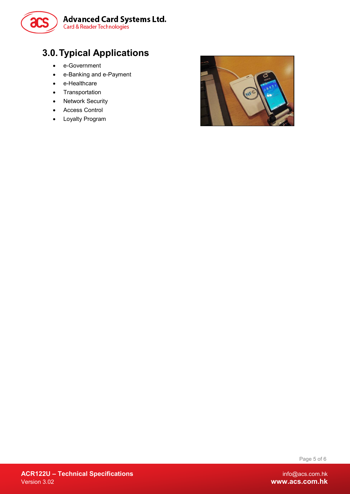

## <span id="page-4-0"></span>**3.0.Typical Applications**

- e-Government
- e-Banking and e-Payment
- e-Healthcare
- Transportation
- Network Security
- Access Control
- Loyalty Program



Page 5 of 6